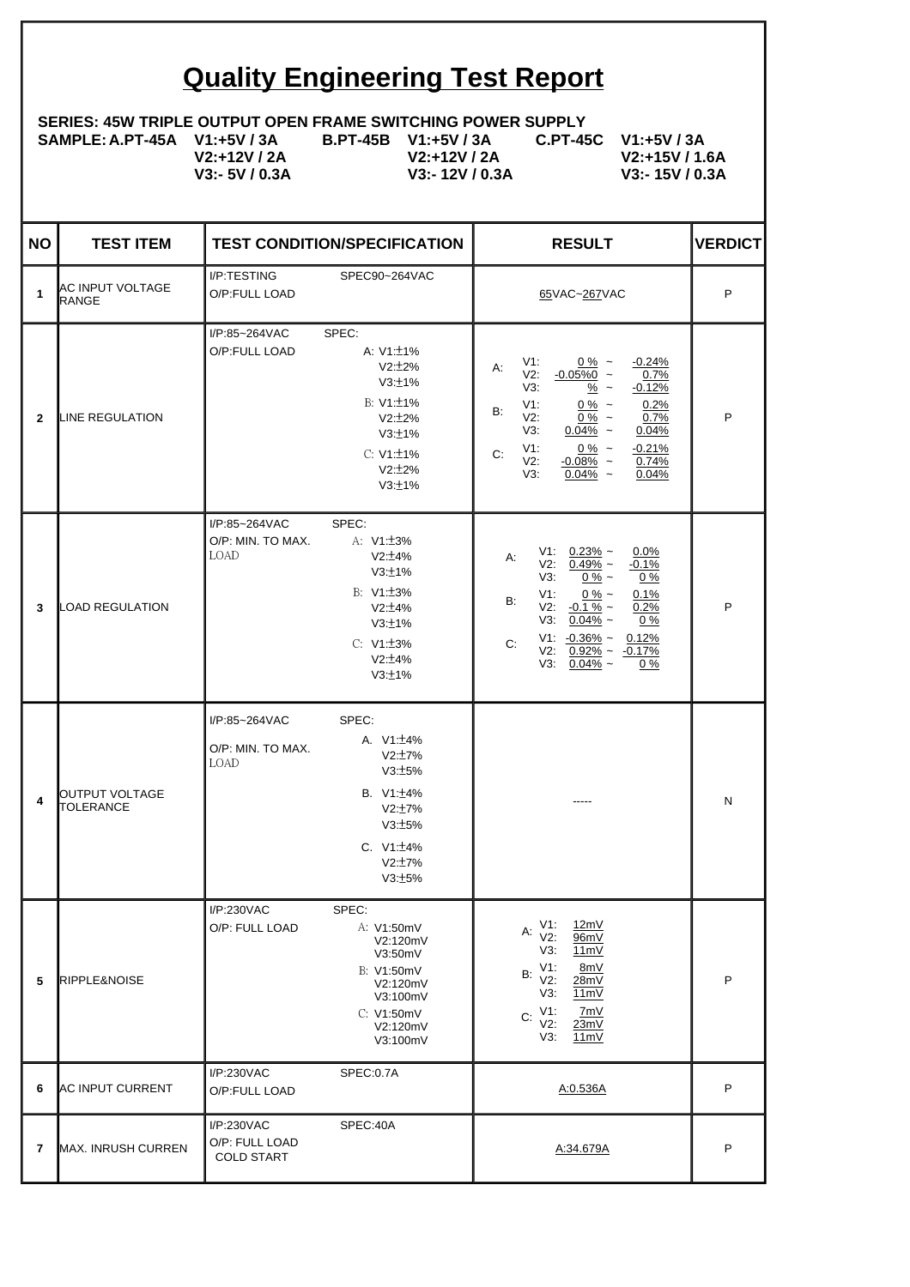## **Quality Engineering Test Report**

## **SERIES: 45W TRIPLE OUTPUT OPEN FRAME SWITCHING POWER SUPPLY**

**SAMPLE: A.PT-45A V1:+5V / 3A** 

**V2:+12V / 2A V3:- 5V / 0.3A**

**B.PT-45B V1:+5V / 3A V2:+12V / 2A V3:- 12V / 0.3A**

**C.PT-45C V1:+5V / 3A V2:+15V / 1.6A V3:- 15V / 0.3A**

| <b>NO</b>      | <b>TEST ITEM</b>                  | <b>TEST CONDITION/SPECIFICATION</b>                                                                                                                                         | <b>RESULT</b>                                                                                                                                                                                                                                                                                           | <b>VERDICT</b> |
|----------------|-----------------------------------|-----------------------------------------------------------------------------------------------------------------------------------------------------------------------------|---------------------------------------------------------------------------------------------------------------------------------------------------------------------------------------------------------------------------------------------------------------------------------------------------------|----------------|
| $\mathbf{1}$   | IAC INPUT VOLTAGE<br><b>RANGE</b> | I/P:TESTING<br>SPEC90~264VAC<br>O/P:FULL LOAD                                                                                                                               | 65VAC~267VAC                                                                                                                                                                                                                                                                                            | P              |
| $\mathbf{2}$   | LINE REGULATION                   | SPEC:<br>I/P:85~264VAC<br>O/P:FULL LOAD<br>A: $V1:\pm 1\%$<br>$V2:12\%$<br>V3:±1%<br>$B: V1: +1\%$<br>$V2:12\%$<br>V3:±1%<br>C: V1:±1%<br>$V2:\pm 2\%$<br>V3:±1%            | V1:<br>$0\%$ ~<br>$-0.24%$<br>А:<br>V2: $-0.05\%0$ ~<br>0.7%<br>V3:<br>$\frac{\%}{\ }$ ~<br>$-0.12%$<br>$0\%$ ~<br>0.2%<br>V1:<br><b>B:</b><br>V2:<br>$0\%$ ~<br>$0.7\%$<br>V3:<br>$0.04\%$ ~<br>0.04%<br>V1:<br>$0\%$ ~<br>$-0.21%$<br>C:<br>V2:<br>$-0.08\%$ ~<br>0.74%<br>$0.04\%$ ~<br>V3:<br>0.04% | P              |
| 3              | <b>LOAD REGULATION</b>            | SPEC:<br>I/P:85~264VAC<br>O/P: MIN. TO MAX.<br>A: V1: ±3%<br>LOAD<br>$V2:\pm 4\%$<br>V3:±1%<br>B: $V1:\pm 3\%$<br>V2:±4%<br>V3:±1%<br>C: V1: ± 3%<br>$V2:\pm 4\%$<br>V3:±1% | $V1: 0.23\%$ ~<br>$0.0\%$<br>А:<br>$V2: 0.49\%$ ~<br>$-0.1%$<br>V3:<br>$0\%$ ~<br>$0\%$<br>V1:<br>$0\%$ ~<br>0.1%<br>B:<br>V2: $-0.1\%$ ~<br>0.2%<br>$V3: 0.04\%$ ~<br>$0\%$<br>$V1: -0.36\% \sim 0.12\%$<br>C:<br>$V2: 0.92\% \sim -0.17\%$<br>$V3: 0.04\%$ ~<br>0 %                                   | P              |
| 4              | OUTPUT VOLTAGE<br>TOLERANCE       | I/P:85~264VAC<br>SPEC:<br>A. V1: ±4%<br>O/P: MIN. TO MAX.<br>V2:17%<br>LOAD<br>V3:±5%<br>B. V1: ±4%<br>$V2:\pm7\%$<br>V3:±5%<br>C. $V1:\pm 4\%$<br>$V2:\pm7\%$<br>V3:±5%    |                                                                                                                                                                                                                                                                                                         | N              |
| 5              | RIPPLE&NOISE                      | I/P:230VAC<br>SPEC:<br>O/P: FULL LOAD<br>A: V1:50mV<br>V2:120mV<br>V3:50mV<br>B: V1:50mV<br>V2:120mV<br>V3:100mV<br>C: V1:50mV<br>V2:120mV<br>V3:100mV                      | V1:<br>12mV<br>А:<br>V2:<br>96mV<br>V3:<br>11mV<br>V1:<br>8mV<br>B:<br>V2:<br>28mV<br>V3:<br><u>11mV</u><br>V1:<br>7mV<br>C:<br>V2:<br>23mV<br>V3:<br>11mV                                                                                                                                              | P              |
| 6              | <b>AC INPUT CURRENT</b>           | I/P:230VAC<br>SPEC:0.7A<br>O/P:FULL LOAD                                                                                                                                    | A:0.536A                                                                                                                                                                                                                                                                                                | P              |
| $\overline{7}$ | MAX. INRUSH CURREN                | I/P:230VAC<br>SPEC:40A<br>O/P: FULL LOAD<br><b>COLD START</b>                                                                                                               | A:34.679A                                                                                                                                                                                                                                                                                               | P              |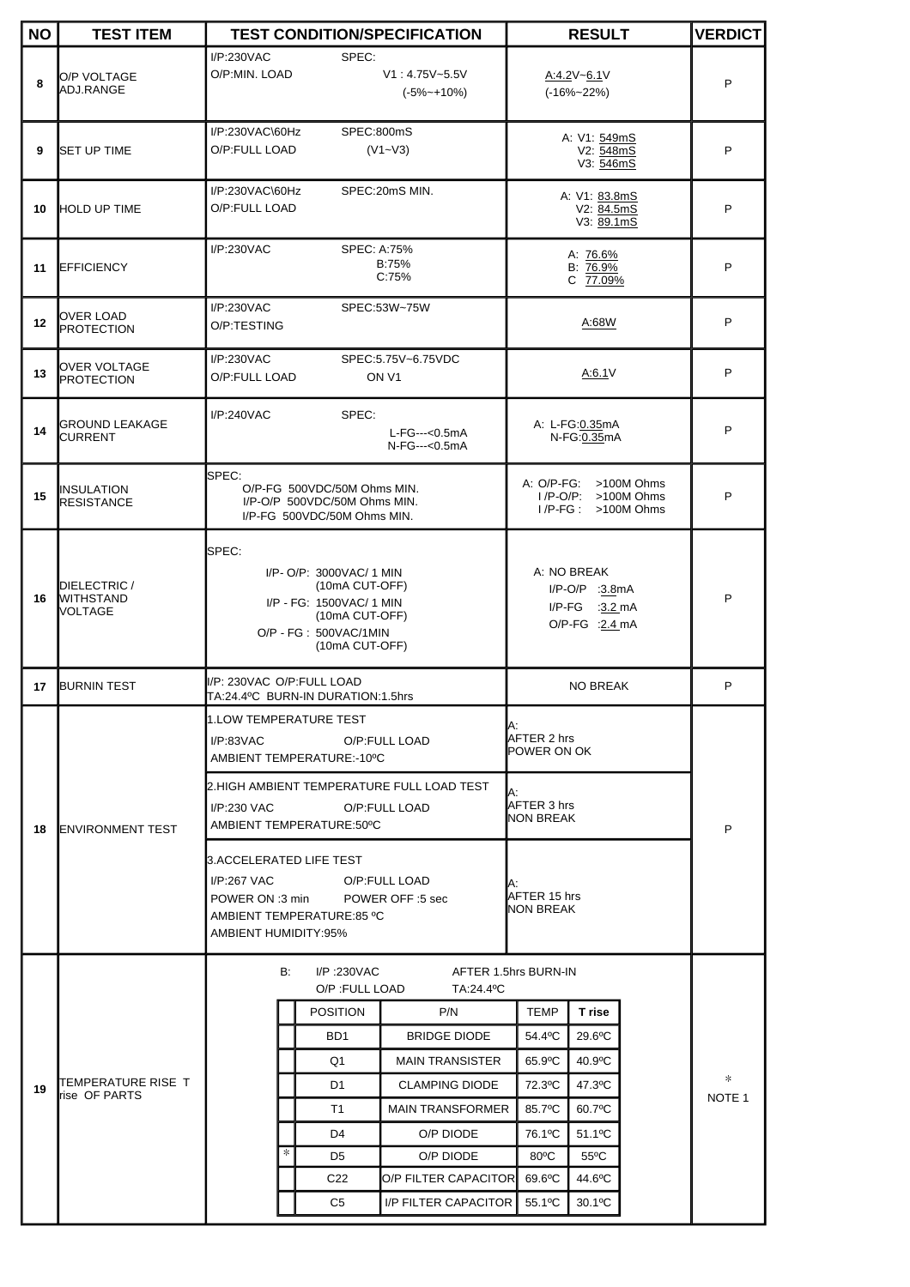| <b>NO</b> | <b>TEST ITEM</b>                            |                                                                                                                                                                                            |                                   | <b>TEST CONDITION/SPECIFICATION</b>     | <b>RESULT</b>                                                       |                                                                      | <b>VERDICT</b> |                   |
|-----------|---------------------------------------------|--------------------------------------------------------------------------------------------------------------------------------------------------------------------------------------------|-----------------------------------|-----------------------------------------|---------------------------------------------------------------------|----------------------------------------------------------------------|----------------|-------------------|
| 8         | O/P VOLTAGE<br>ADJ.RANGE                    | I/P:230VAC<br>O/P:MIN. LOAD                                                                                                                                                                | SPEC:                             | $V1: 4.75V - 5.5V$<br>$(-5% \sim +10%)$ |                                                                     | A:4.2V~6.1V<br>$(-16\% - 22\%)$                                      |                | P                 |
| 9         | <b>SET UP TIME</b>                          | I/P:230VAC\60Hz<br>SPEC:800mS<br>O/P:FULL LOAD<br>$(V1 - V3)$                                                                                                                              |                                   |                                         | A: V1: 549mS<br>V2: 548mS<br>V3: 546mS                              |                                                                      | P              |                   |
| 10        | <b>HOLD UP TIME</b>                         | I/P:230VAC\60Hz<br>SPEC: 20mS MIN.<br>O/P:FULL LOAD                                                                                                                                        |                                   |                                         | A: V1: 83.8mS<br>V2: 84.5mS<br>V3: 89.1mS                           |                                                                      |                | P                 |
| 11        | <b>EFFICIENCY</b>                           | I/P:230VAC<br>SPEC: A:75%<br>B:75%<br>C:75%                                                                                                                                                |                                   |                                         | A: 76.6%<br>B: 76.9%<br>C 77.09%                                    |                                                                      |                | P                 |
| 12        | OVER LOAD<br>PROTECTION                     | I/P:230VAC<br>SPEC:53W~75W<br>O/P:TESTING                                                                                                                                                  |                                   |                                         | A:68W                                                               |                                                                      | P              |                   |
| 13        | <b>OVER VOLTAGE</b><br>PROTECTION           | I/P:230VAC<br>SPEC:5.75V~6.75VDC<br>O/P:FULL LOAD<br>ON <sub>V1</sub>                                                                                                                      |                                   |                                         | A:6.1V                                                              |                                                                      | P              |                   |
| 14        | <b>GROUND LEAKAGE</b><br><b>CURRENT</b>     | I/P:240VAC<br>SPEC:<br>L-FG---<0.5mA<br>N-FG---<0.5mA                                                                                                                                      |                                   |                                         | A: L-FG:0.35mA<br>N-FG:0.35mA                                       |                                                                      | P              |                   |
| 15        | INSULATION<br>RESISTANCE                    | <b>SPEC:</b><br>O/P-FG 500VDC/50M Ohms MIN.<br>I/P-O/P 500VDC/50M Ohms MIN.<br>I/P-FG 500VDC/50M Ohms MIN.                                                                                 |                                   |                                         |                                                                     | A: O/P-FG: >100M Ohms<br>I/P-O/P: >100M Ohms<br>$I/P-FG: >100M Ohms$ |                | P                 |
| 16        | DIELECTRIC /<br><b>WITHSTAND</b><br>VOLTAGE | SPEC:<br>I/P- O/P: 3000VAC/ 1 MIN<br>(10mA CUT-OFF)<br>I/P - FG: 1500VAC/ 1 MIN<br>(10mA CUT-OFF)<br>O/P - FG: 500VAC/1MIN<br>(10mA CUT-OFF)                                               |                                   |                                         | A: NO BREAK<br>I/P-O/P :3.8mA<br>$I/P-FG$ :3.2 mA<br>O/P-FG :2.4 mA |                                                                      | P              |                   |
| 17        | <b>BURNIN TEST</b>                          | I/P: 230VAC O/P:FULL LOAD<br>TA:24.4°C BURN-IN DURATION:1.5hrs                                                                                                                             |                                   |                                         | <b>NO BREAK</b>                                                     |                                                                      |                | P                 |
| 18        | <b>ENVIRONMENT TEST</b>                     | 1.LOW TEMPERATURE TEST<br>I/P:83VAC<br>O/P:FULL LOAD<br>AMBIENT TEMPERATURE:-10°C<br>2.HIGH AMBIENT TEMPERATURE FULL LOAD TEST<br>I/P:230 VAC<br>O/P:FULL LOAD<br>AMBIENT TEMPERATURE:50°C |                                   | IA:<br>AFTER 2 hrs<br>∥POWER ON OK      |                                                                     |                                                                      |                |                   |
|           |                                             |                                                                                                                                                                                            |                                   |                                         | A:<br>AFTER 3 hrs<br>∥NON BREAK                                     |                                                                      | P              |                   |
|           |                                             | 3.ACCELERATED LIFE TEST<br>I/P:267 VAC<br>POWER ON :3 min POWER OFF :5 sec<br>AMBIENT TEMPERATURE:85 °C<br>AMBIENT HUMIDITY:95%                                                            |                                   | O/P:FULL LOAD                           | А:<br>AFTER 15 hrs<br>∥NON BREAK                                    |                                                                      |                |                   |
|           | TEMPERATURE RISE T<br>lrise OF PARTS        | B:                                                                                                                                                                                         | $I/P$ :230 $VAC$<br>O/P:FULL LOAD | TA:24.4°C                               | AFTER 1.5hrs BURN-IN                                                |                                                                      |                |                   |
|           |                                             | <b>POSITION</b><br>P/N                                                                                                                                                                     |                                   |                                         | TEMP                                                                | T rise                                                               |                |                   |
|           |                                             |                                                                                                                                                                                            | BD <sub>1</sub>                   | <b>BRIDGE DIODE</b>                     | 54.4°C                                                              | 29.6°C                                                               |                |                   |
| 19        |                                             |                                                                                                                                                                                            | Q1                                | <b>MAIN TRANSISTER</b>                  | 65.9°C                                                              | 40.9°C                                                               |                |                   |
|           |                                             |                                                                                                                                                                                            | D <sub>1</sub>                    | <b>CLAMPING DIODE</b>                   | 72.3°C                                                              | 47.3°C                                                               |                | *                 |
|           |                                             |                                                                                                                                                                                            | T1                                | <b>MAIN TRANSFORMER</b>                 | 85.7°C                                                              | 60.7°C                                                               |                | NOTE <sub>1</sub> |
|           |                                             |                                                                                                                                                                                            | D <sub>4</sub>                    | O/P DIODE                               | 76.1°C                                                              | 51.1 <sup>o</sup> C                                                  |                |                   |
|           |                                             | $\ast$                                                                                                                                                                                     | D5                                | O/P DIODE                               | $80^{\circ}$ C                                                      | $55^{\circ}$ C                                                       |                |                   |
|           |                                             |                                                                                                                                                                                            | C <sub>22</sub>                   | O/P FILTER CAPACITOR                    | 69.6°C                                                              | 44.6°C                                                               |                |                   |
|           |                                             |                                                                                                                                                                                            | C5                                | <b>I/P FILTER CAPACITOR</b>             | 55.1°C                                                              | 30.1°C                                                               |                |                   |